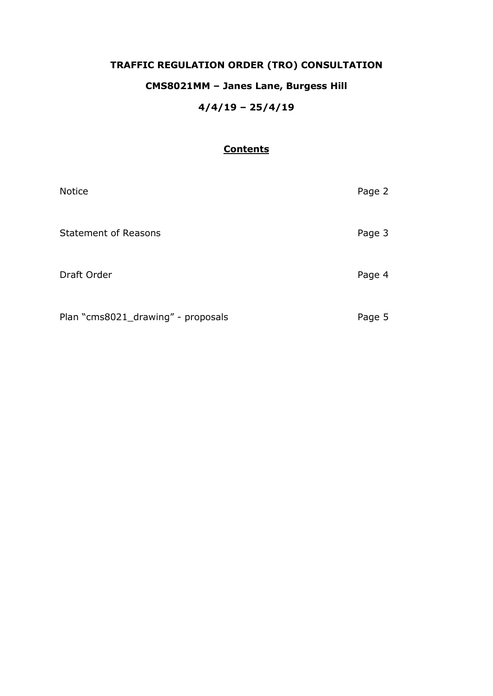# **TRAFFIC REGULATION ORDER (TRO) CONSULTATION**

# **CMS8021MM – Janes Lane, Burgess Hill**

## **4/4/19 – 25/4/19**

### **Contents**

| <b>Notice</b>                      | Page 2 |
|------------------------------------|--------|
| <b>Statement of Reasons</b>        | Page 3 |
| Draft Order                        | Page 4 |
| Plan "cms8021_drawing" - proposals | Page 5 |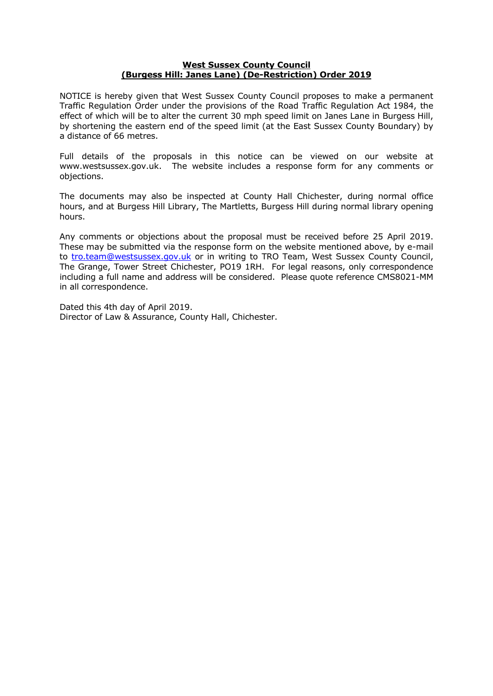#### **West Sussex County Council (Burgess Hill: Janes Lane) (De-Restriction) Order 2019**

NOTICE is hereby given that West Sussex County Council proposes to make a permanent Traffic Regulation Order under the provisions of the Road Traffic Regulation Act 1984, the effect of which will be to alter the current 30 mph speed limit on Janes Lane in Burgess Hill, by shortening the eastern end of the speed limit (at the East Sussex County Boundary) by a distance of 66 metres.

Full details of the proposals in this notice can be viewed on our website at www.westsussex.gov.uk. The website includes a response form for any comments or objections.

The documents may also be inspected at County Hall Chichester, during normal office hours, and at Burgess Hill Library, The Martletts, Burgess Hill during normal library opening hours.

Any comments or objections about the proposal must be received before 25 April 2019. These may be submitted via the response form on the website mentioned above, by e-mail to [tro.team@westsussex.gov.uk](mailto:tro.team@westsussex.gov.uk) or in writing to TRO Team, West Sussex County Council, The Grange, Tower Street Chichester, PO19 1RH. For legal reasons, only correspondence including a full name and address will be considered. Please quote reference CMS8021-MM in all correspondence.

Dated this 4th day of April 2019. Director of Law & Assurance, County Hall, Chichester.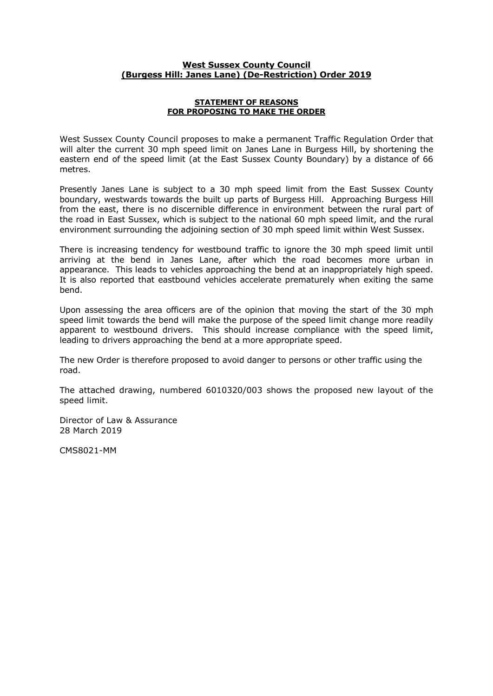#### **West Sussex County Council (Burgess Hill: Janes Lane) (De-Restriction) Order 2019**

#### **STATEMENT OF REASONS FOR PROPOSING TO MAKE THE ORDER**

West Sussex County Council proposes to make a permanent Traffic Regulation Order that will alter the current 30 mph speed limit on Janes Lane in Burgess Hill, by shortening the eastern end of the speed limit (at the East Sussex County Boundary) by a distance of 66 metres.

Presently Janes Lane is subject to a 30 mph speed limit from the East Sussex County boundary, westwards towards the built up parts of Burgess Hill. Approaching Burgess Hill from the east, there is no discernible difference in environment between the rural part of the road in East Sussex, which is subject to the national 60 mph speed limit, and the rural environment surrounding the adjoining section of 30 mph speed limit within West Sussex.

There is increasing tendency for westbound traffic to ignore the 30 mph speed limit until arriving at the bend in Janes Lane, after which the road becomes more urban in appearance. This leads to vehicles approaching the bend at an inappropriately high speed. It is also reported that eastbound vehicles accelerate prematurely when exiting the same bend.

Upon assessing the area officers are of the opinion that moving the start of the 30 mph speed limit towards the bend will make the purpose of the speed limit change more readily apparent to westbound drivers. This should increase compliance with the speed limit, leading to drivers approaching the bend at a more appropriate speed.

The new Order is therefore proposed to avoid danger to persons or other traffic using the road.

The attached drawing, numbered 6010320/003 shows the proposed new layout of the speed limit.

Director of Law & Assurance 28 March 2019

CMS8021-MM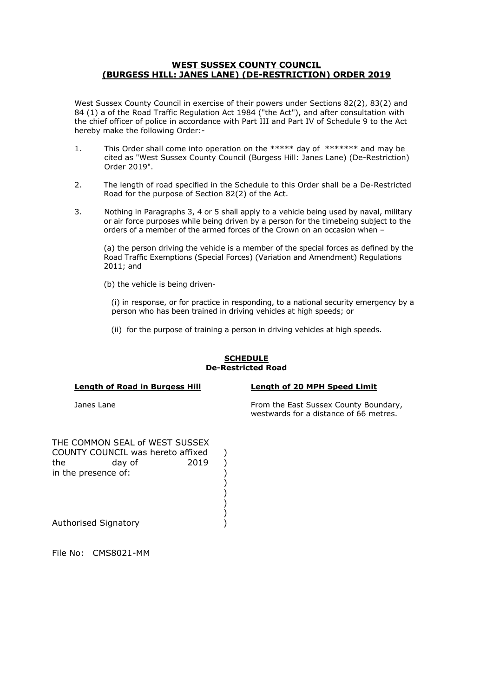#### **WEST SUSSEX COUNTY COUNCIL (BURGESS HILL: JANES LANE) (DE-RESTRICTION) ORDER 2019**

West Sussex County Council in exercise of their powers under Sections 82(2), 83(2) and 84 (1) a of the Road Traffic Regulation Act 1984 ("the Act"), and after consultation with the chief officer of police in accordance with Part III and Part IV of Schedule 9 to the Act hereby make the following Order:-

- 1. This Order shall come into operation on the \*\*\*\*\* day of \*\*\*\*\*\*\* and may be cited as "West Sussex County Council (Burgess Hill: Janes Lane) (De-Restriction) Order 2019".
- 2. The length of road specified in the Schedule to this Order shall be a De-Restricted Road for the purpose of Section 82(2) of the Act.
- 3. Nothing in Paragraphs 3, 4 or 5 shall apply to a vehicle being used by naval, military or air force purposes while being driven by a person for the timebeing subject to the orders of a member of the armed forces of the Crown on an occasion when –

(a) the person driving the vehicle is a member of the special forces as defined by the Road Traffic Exemptions (Special Forces) (Variation and Amendment) Regulations 2011; and

(b) the vehicle is being driven-

 (i) in response, or for practice in responding, to a national security emergency by a person who has been trained in driving vehicles at high speeds; or

(ii) for the purpose of training a person in driving vehicles at high speeds.

#### **SCHEDULE De-Restricted Road**

**Length of Road in Burgess Hill Length of 20 MPH Speed Limit**

Janes Lane **From the East Sussex County Boundary**, Energy County Boundary, westwards for a distance of 66 metres.

THE COMMON SEAL of WEST SUSSEX in the presence of:  $\qquad \qquad$ ) COUNTY COUNCIL was hereto affixed ) the day of 2019 )

)

)

)

)

Authorised Signatory (a)

File No: CMS8021-MM